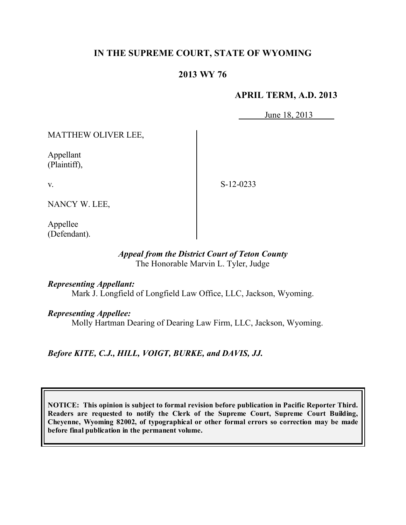# **IN THE SUPREME COURT, STATE OF WYOMING**

# **2013 WY 76**

#### **APRIL TERM, A.D. 2013**

June 18, 2013

MATTHEW OLIVER LEE,

Appellant (Plaintiff),

S-12-0233

NANCY W. LEE,

Appellee (Defendant).

#### *Appeal from the District Court of Teton County* The Honorable Marvin L. Tyler, Judge

*Representing Appellant:*

Mark J. Longfield of Longfield Law Office, LLC, Jackson, Wyoming.

*Representing Appellee:*

Molly Hartman Dearing of Dearing Law Firm, LLC, Jackson, Wyoming.

*Before KITE, C.J., HILL, VOIGT, BURKE, and DAVIS, JJ.*

**NOTICE: This opinion is subject to formal revision before publication in Pacific Reporter Third. Readers are requested to notify the Clerk of the Supreme Court, Supreme Court Building, Cheyenne, Wyoming 82002, of typographical or other formal errors so correction may be made before final publication in the permanent volume.**

v.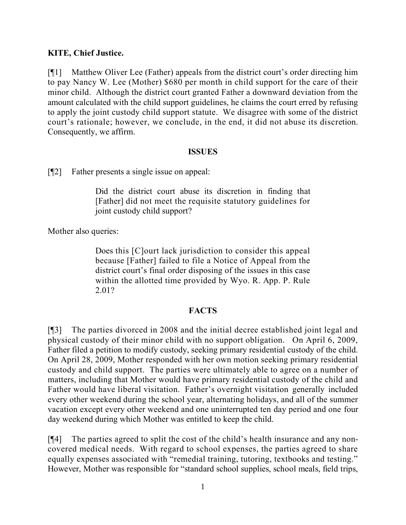### **KITE, Chief Justice.**

[¶1] Matthew Oliver Lee (Father) appeals from the district court's order directing him to pay Nancy W. Lee (Mother) \$680 per month in child support for the care of their minor child. Although the district court granted Father a downward deviation from the amount calculated with the child support guidelines, he claims the court erred by refusing to apply the joint custody child support statute. We disagree with some of the district court's rationale; however, we conclude, in the end, it did not abuse its discretion. Consequently, we affirm.

#### **ISSUES**

[¶2] Father presents a single issue on appeal:

Did the district court abuse its discretion in finding that [Father] did not meet the requisite statutory guidelines for joint custody child support?

Mother also queries:

Does this [C]ourt lack jurisdiction to consider this appeal because [Father] failed to file a Notice of Appeal from the district court's final order disposing of the issues in this case within the allotted time provided by Wyo. R. App. P. Rule 2.01?

### **FACTS**

[¶3] The parties divorced in 2008 and the initial decree established joint legal and physical custody of their minor child with no support obligation. On April 6, 2009, Father filed a petition to modify custody, seeking primary residential custody of the child. On April 28, 2009, Mother responded with her own motion seeking primary residential custody and child support. The parties were ultimately able to agree on a number of matters, including that Mother would have primary residential custody of the child and Father would have liberal visitation. Father's overnight visitation generally included every other weekend during the school year, alternating holidays, and all of the summer vacation except every other weekend and one uninterrupted ten day period and one four day weekend during which Mother was entitled to keep the child.

[¶4] The parties agreed to split the cost of the child's health insurance and any noncovered medical needs. With regard to school expenses, the parties agreed to share equally expenses associated with "remedial training, tutoring, textbooks and testing." However, Mother was responsible for "standard school supplies, school meals, field trips,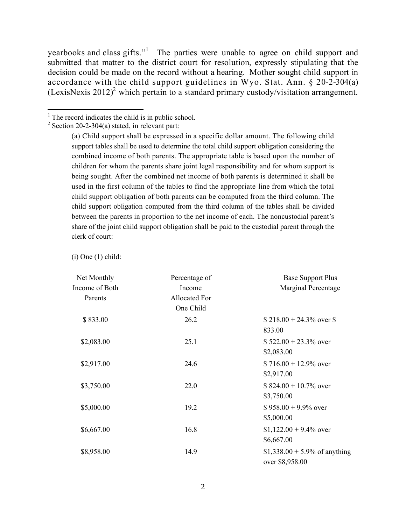yearbooks and class gifts."<sup>1</sup> The parties were unable to agree on child support and submitted that matter to the district court for resolution, expressly stipulating that the decision could be made on the record without a hearing. Mother sought child support in accordance with the child support guidelines in Wyo. Stat. Ann. § 20-2-304(a) (LexisNexis 2012)<sup>2</sup> which pertain to a standard primary custody/visitation arrangement.

 $\overline{a}$ 

 $(i)$  One  $(1)$  child:

| Net Monthly    | Percentage of        | <b>Base Support Plus</b>      |
|----------------|----------------------|-------------------------------|
| Income of Both | Income               | Marginal Percentage           |
| Parents        | <b>Allocated For</b> |                               |
|                | One Child            |                               |
| \$833.00       | 26.2                 | $$218.00 + 24.3\%$ over \$    |
|                |                      | 833.00                        |
| \$2,083.00     | 25.1                 | $$522.00 + 23.3\%$ over       |
|                |                      | \$2,083.00                    |
| \$2,917.00     | 24.6                 | $$716.00 + 12.9\%$ over       |
|                |                      | \$2,917.00                    |
| \$3,750.00     | 22.0                 | $$824.00 + 10.7\%$ over       |
|                |                      | \$3,750.00                    |
| \$5,000.00     | 19.2                 | $$958.00 + 9.9\%$ over        |
|                |                      | \$5,000.00                    |
| \$6,667.00     | 16.8                 | $$1,122.00 + 9.4\%$ over      |
|                |                      | \$6,667.00                    |
| \$8,958.00     | 14.9                 | \$1,338.00 + 5.9% of anything |
|                |                      | over \$8,958.00               |

 $<sup>1</sup>$  The record indicates the child is in public school.</sup>

 $2$  Section 20-2-304(a) stated, in relevant part:

<sup>(</sup>a) Child support shall be expressed in a specific dollar amount. The following child support tables shall be used to determine the total child support obligation considering the combined income of both parents. The appropriate table is based upon the number of children for whom the parents share joint legal responsibility and for whom support is being sought. After the combined net income of both parents is determined it shall be used in the first column of the tables to find the appropriate line from which the total child support obligation of both parents can be computed from the third column. The child support obligation computed from the third column of the tables shall be divided between the parents in proportion to the net income of each. The noncustodial parent's share of the joint child support obligation shall be paid to the custodial parent through the clerk of court: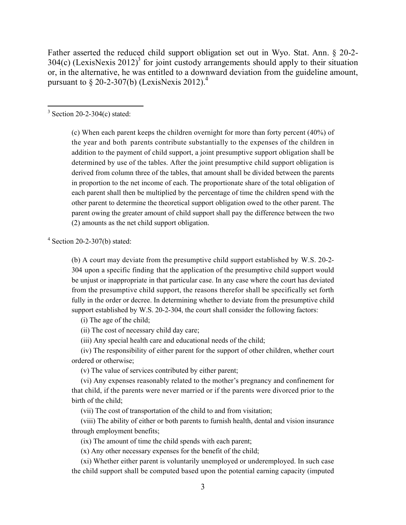Father asserted the reduced child support obligation set out in Wyo. Stat. Ann. § 20-2-  $304(c)$  (LexisNexis 2012)<sup>3</sup> for joint custody arrangements should apply to their situation or, in the alternative, he was entitled to a downward deviation from the guideline amount, pursuant to  $\S 20$ -2-307(b) (LexisNexis 2012).<sup>4</sup>

 $3$  Section 20-2-304(c) stated:

(c) When each parent keeps the children overnight for more than forty percent (40%) of the year and both parents contribute substantially to the expenses of the children in addition to the payment of child support, a joint presumptive support obligation shall be determined by use of the tables. After the joint presumptive child support obligation is derived from column three of the tables, that amount shall be divided between the parents in proportion to the net income of each. The proportionate share of the total obligation of each parent shall then be multiplied by the percentage of time the children spend with the other parent to determine the theoretical support obligation owed to the other parent. The parent owing the greater amount of child support shall pay the difference between the two (2) amounts as the net child support obligation.

4 Section 20-2-307(b) stated:

(b) A court may deviate from the presumptive child support established by W.S. 20-2- 304 upon a specific finding that the application of the presumptive child support would be unjust or inappropriate in that particular case. In any case where the court has deviated from the presumptive child support, the reasons therefor shall be specifically set forth fully in the order or decree. In determining whether to deviate from the presumptive child support established by W.S. 20-2-304, the court shall consider the following factors:

(i) The age of the child;

(ii) The cost of necessary child day care;

(iii) Any special health care and educational needs of the child;

 (iv) The responsibility of either parent for the support of other children, whether court ordered or otherwise;

(v) The value of services contributed by either parent;

 (vi) Any expenses reasonably related to the mother's pregnancy and confinement for that child, if the parents were never married or if the parents were divorced prior to the birth of the child;

(vii) The cost of transportation of the child to and from visitation;

 (viii) The ability of either or both parents to furnish health, dental and vision insurance through employment benefits;

(ix) The amount of time the child spends with each parent;

(x) Any other necessary expenses for the benefit of the child;

 (xi) Whether either parent is voluntarily unemployed or underemployed. In such case the child support shall be computed based upon the potential earning capacity (imputed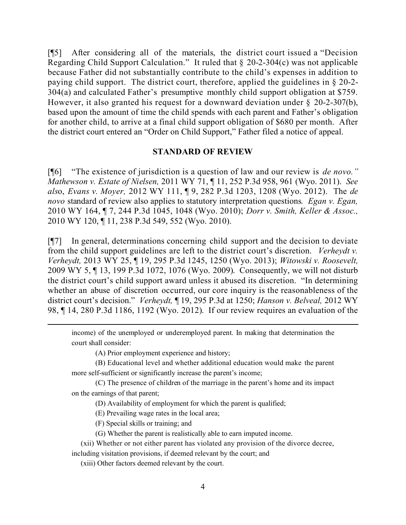[¶5] After considering all of the materials, the district court issued a "Decision Regarding Child Support Calculation." It ruled that § 20-2-304(c) was not applicable because Father did not substantially contribute to the child's expenses in addition to paying child support. The district court, therefore, applied the guidelines in § 20-2- 304(a) and calculated Father's presumptive monthly child support obligation at \$759. However, it also granted his request for a downward deviation under § 20-2-307(b), based upon the amount of time the child spends with each parent and Father's obligation for another child, to arrive at a final child support obligation of \$680 per month. After the district court entered an "Order on Child Support," Father filed a notice of appeal.

#### **STANDARD OF REVIEW**

[¶6] "The existence of jurisdiction is a question of law and our review is *de novo." Mathewson v. Estate of Nielsen,* 2011 WY 71, ¶ 11, 252 P.3d 958, 961 (Wyo. 2011). *See als*o, *Evans v. Moyer,* 2012 WY 111, ¶ 9, 282 P.3d 1203, 1208 (Wyo. 2012). The *de novo* standard of review also applies to statutory interpretation questions*. Egan v. Egan,*  2010 WY 164, ¶ 7, 244 P.3d 1045, 1048 (Wyo. 2010); *Dorr v. Smith, Keller & Assoc.,* 2010 WY 120, ¶ 11, 238 P.3d 549, 552 (Wyo. 2010).

[¶7] In general, determinations concerning child support and the decision to deviate from the child support guidelines are left to the district court's discretion. *Verheydt v. Verheydt,* 2013 WY 25, ¶ 19, 295 P.3d 1245, 1250 (Wyo. 2013); *Witowski v. Roosevelt,* 2009 WY 5, ¶ 13, 199 P.3d 1072, 1076 (Wyo. 2009). Consequently, we will not disturb the district court's child support award unless it abused its discretion. "In determining whether an abuse of discretion occurred, our core inquiry is the reasonableness of the district court's decision." *Verheydt,* ¶ 19, 295 P.3d at 1250; *Hanson v. Belveal,* 2012 WY 98, ¶ 14, 280 P.3d 1186, 1192 (Wyo. 2012). If our review requires an evaluation of the

income) of the unemployed or underemployed parent. In making that determination the court shall consider:

(A) Prior employment experience and history;

(B) Educational level and whether additional education would make the parent more self-sufficient or significantly increase the parent's income;

(C) The presence of children of the marriage in the parent's home and its impact on the earnings of that parent;

(D) Availability of employment for which the parent is qualified;

(E) Prevailing wage rates in the local area;

(F) Special skills or training; and

 $\overline{a}$ 

(G) Whether the parent is realistically able to earn imputed income.

 (xii) Whether or not either parent has violated any provision of the divorce decree, including visitation provisions, if deemed relevant by the court; and

(xiii) Other factors deemed relevant by the court.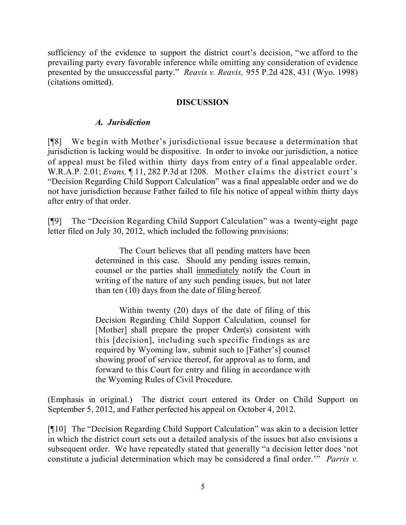sufficiency of the evidence to support the district court's decision, "we afford to the prevailing party every favorable inference while omitting any consideration of evidence presented by the unsuccessful party." *Reavis v. Reavis,* 955 P.2d 428, 431 (Wyo. 1998) (citations omitted).

### **DISCUSSION**

### *A. Jurisdiction*

[¶8] We begin with Mother's jurisdictional issue because a determination that jurisdiction is lacking would be dispositive. In order to invoke our jurisdiction, a notice of appeal must be filed within thirty days from entry of a final appealable order. W.R.A.P. 2.01; *Evans*, 11, 282 P.3d at 1208. Mother claims the district court's "Decision Regarding Child Support Calculation" was a final appealable order and we do not have jurisdiction because Father failed to file his notice of appeal within thirty days after entry of that order.

[¶9] The "Decision Regarding Child Support Calculation" was a twenty-eight page letter filed on July 30, 2012, which included the following provisions:

> The Court believes that all pending matters have been determined in this case. Should any pending issues remain, counsel or the parties shall immediately notify the Court in writing of the nature of any such pending issues, but not later than ten (10) days from the date of filing hereof.

> Within twenty (20) days of the date of filing of this Decision Regarding Child Support Calculation, counsel for [Mother] shall prepare the proper Order(s) consistent with this [decision], including such specific findings as are required by Wyoming law, submit such to [Father's] counsel showing proof of service thereof, for approval as to form, and forward to this Court for entry and filing in accordance with the Wyoming Rules of Civil Procedure.

(Emphasis in original.) The district court entered its Order on Child Support on September 5, 2012, and Father perfected his appeal on October 4, 2012.

[¶10] The "Decision Regarding Child Support Calculation" was akin to a decision letter in which the district court sets out a detailed analysis of the issues but also envisions a subsequent order. We have repeatedly stated that generally "a decision letter does 'not constitute a judicial determination which may be considered a final order.'" *Parris v.*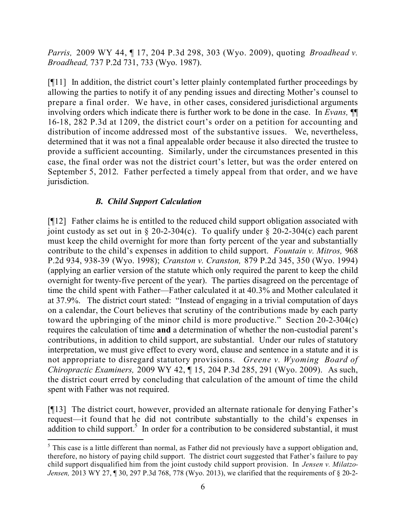*Parris,* 2009 WY 44, ¶ 17, 204 P.3d 298, 303 (Wyo. 2009), quoting *Broadhead v. Broadhead,* 737 P.2d 731, 733 (Wyo. 1987).

[¶11] In addition, the district court's letter plainly contemplated further proceedings by allowing the parties to notify it of any pending issues and directing Mother's counsel to prepare a final order. We have, in other cases, considered jurisdictional arguments involving orders which indicate there is further work to be done in the case. In *Evans,* ¶¶ 16-18, 282 P.3d at 1209, the district court's order on a petition for accounting and distribution of income addressed most of the substantive issues. We, nevertheless, determined that it was not a final appealable order because it also directed the trustee to provide a sufficient accounting. Similarly, under the circumstances presented in this case, the final order was not the district court's letter, but was the order entered on September 5, 2012. Father perfected a timely appeal from that order, and we have jurisdiction.

# *B. Child Support Calculation*

 $\overline{a}$ 

[¶12] Father claims he is entitled to the reduced child support obligation associated with joint custody as set out in § 20-2-304(c). To qualify under § 20-2-304(c) each parent must keep the child overnight for more than forty percent of the year and substantially contribute to the child's expenses in addition to child support. *Fountain v. Mitros,* 968 P.2d 934, 938-39 (Wyo. 1998); *Cranston v. Cranston,* 879 P.2d 345, 350 (Wyo. 1994) (applying an earlier version of the statute which only required the parent to keep the child overnight for twenty-five percent of the year). The parties disagreed on the percentage of time the child spent with Father—Father calculated it at 40.3% and Mother calculated it at 37.9%. The district court stated: "Instead of engaging in a trivial computation of days on a calendar, the Court believes that scrutiny of the contributions made by each party toward the upbringing of the minor child is more productive." Section 20-2-304(c) requires the calculation of time **and** a determination of whether the non-custodial parent's contributions, in addition to child support, are substantial. Under our rules of statutory interpretation, we must give effect to every word, clause and sentence in a statute and it is not appropriate to disregard statutory provisions. *Greene v. Wyoming Board of Chiropractic Examiners,* 2009 WY 42, ¶ 15, 204 P.3d 285, 291 (Wyo. 2009). As such, the district court erred by concluding that calculation of the amount of time the child spent with Father was not required.

[¶13] The district court, however, provided an alternate rationale for denying Father's request—it found that he did not contribute substantially to the child's expenses in addition to child support.<sup>5</sup> In order for a contribution to be considered substantial, it must

 $<sup>5</sup>$  This case is a little different than normal, as Father did not previously have a support obligation and,</sup> therefore, no history of paying child support. The district court suggested that Father's failure to pay child support disqualified him from the joint custody child support provision. In *Jensen v. Milatzo-Jensen,* 2013 WY 27, ¶ 30, 297 P.3d 768, 778 (Wyo. 2013), we clarified that the requirements of § 20-2-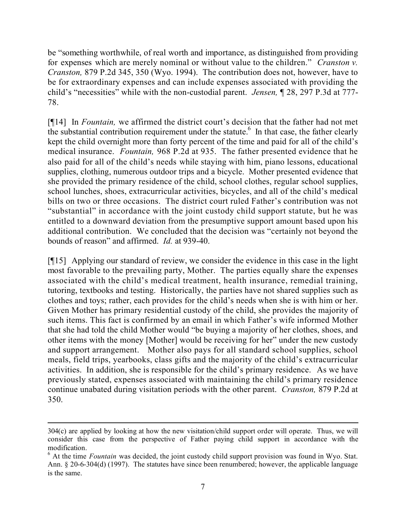be "something worthwhile, of real worth and importance, as distinguished from providing for expenses which are merely nominal or without value to the children." *Cranston v. Cranston,* 879 P.2d 345, 350 (Wyo. 1994). The contribution does not, however, have to be for extraordinary expenses and can include expenses associated with providing the child's "necessities" while with the non-custodial parent. *Jensen,* ¶ 28, 297 P.3d at 777- 78.

[¶14] In *Fountain,* we affirmed the district court's decision that the father had not met the substantial contribution requirement under the statute.<sup>6</sup> In that case, the father clearly kept the child overnight more than forty percent of the time and paid for all of the child's medical insurance. *Fountain,* 968 P.2d at 935. The father presented evidence that he also paid for all of the child's needs while staying with him, piano lessons, educational supplies, clothing, numerous outdoor trips and a bicycle. Mother presented evidence that she provided the primary residence of the child, school clothes, regular school supplies, school lunches, shoes, extracurricular activities, bicycles, and all of the child's medical bills on two or three occasions. The district court ruled Father's contribution was not "substantial" in accordance with the joint custody child support statute, but he was entitled to a downward deviation from the presumptive support amount based upon his additional contribution. We concluded that the decision was "certainly not beyond the bounds of reason" and affirmed. *Id.* at 939-40.

[¶15] Applying our standard of review, we consider the evidence in this case in the light most favorable to the prevailing party, Mother. The parties equally share the expenses associated with the child's medical treatment, health insurance, remedial training, tutoring, textbooks and testing. Historically, the parties have not shared supplies such as clothes and toys; rather, each provides for the child's needs when she is with him or her. Given Mother has primary residential custody of the child, she provides the majority of such items. This fact is confirmed by an email in which Father's wife informed Mother that she had told the child Mother would "be buying a majority of her clothes, shoes, and other items with the money [Mother] would be receiving for her" under the new custody and support arrangement. Mother also pays for all standard school supplies, school meals, field trips, yearbooks, class gifts and the majority of the child's extracurricular activities. In addition, she is responsible for the child's primary residence. As we have previously stated, expenses associated with maintaining the child's primary residence continue unabated during visitation periods with the other parent. *Cranston,* 879 P.2d at 350.

<sup>304(</sup>c) are applied by looking at how the new visitation/child support order will operate. Thus, we will consider this case from the perspective of Father paying child support in accordance with the modification.

<sup>6</sup> At the time *Fountain* was decided, the joint custody child support provision was found in Wyo. Stat. Ann. § 20-6-304(d) (1997). The statutes have since been renumbered; however, the applicable language is the same.